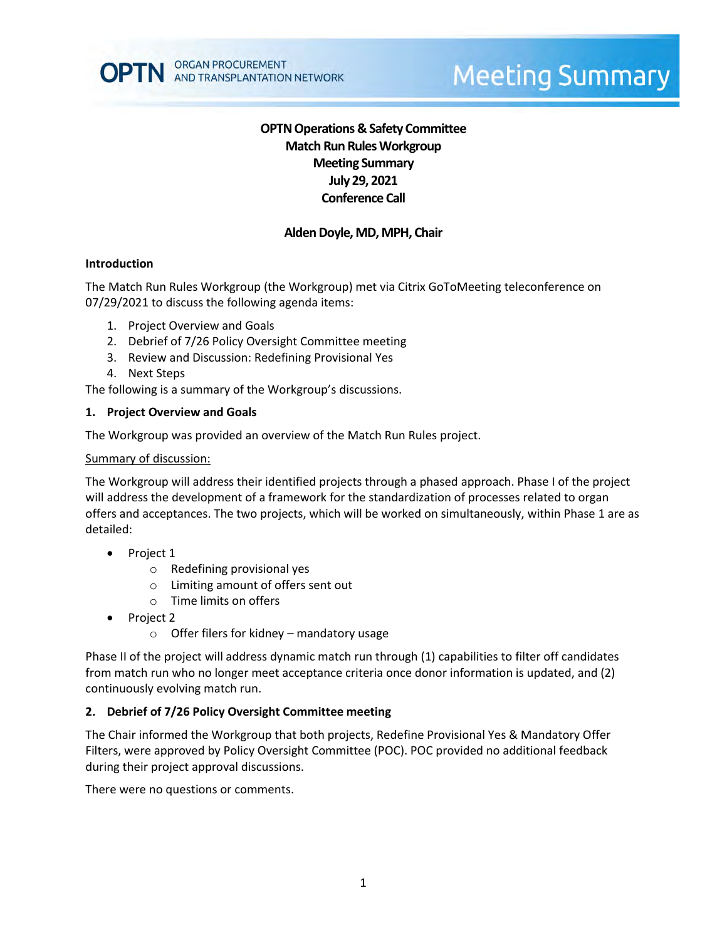# **OPTN Operations & Safety Committee Match Run RulesWorkgroup Meeting Summary July 29, 2021 Conference Call**

# **Alden Doyle, MD, MPH, Chair**

### **Introduction**

The Match Run Rules Workgroup (the Workgroup) met via Citrix GoToMeeting teleconference on 07/29/2021 to discuss the following agenda items:

- 1. Project Overview and Goals
- 2. Debrief of 7/26 Policy Oversight Committee meeting
- 3. Review and Discussion: Redefining Provisional Yes
- 4. Next Steps

The following is a summary of the Workgroup's discussions.

#### **1. Project Overview and Goals**

The Workgroup was provided an overview of the Match Run Rules project.

#### Summary of discussion:

The Workgroup will address their identified projects through a phased approach. Phase I of the project will address the development of a framework for the standardization of processes related to organ offers and acceptances. The two projects, which will be worked on simultaneously, within Phase 1 are as detailed:

- Project 1
	- o Redefining provisional yes
	- o Limiting amount of offers sent out
	- o Time limits on offers
- Project 2
	- $\circ$  Offer filers for kidney mandatory usage

Phase II of the project will address dynamic match run through (1) capabilities to filter off candidates from match run who no longer meet acceptance criteria once donor information is updated, and (2) continuously evolving match run.

### **2. Debrief of 7/26 Policy Oversight Committee meeting**

The Chair informed the Workgroup that both projects, Redefine Provisional Yes & Mandatory Offer Filters, were approved by Policy Oversight Committee (POC). POC provided no additional feedback during their project approval discussions.

There were no questions or comments.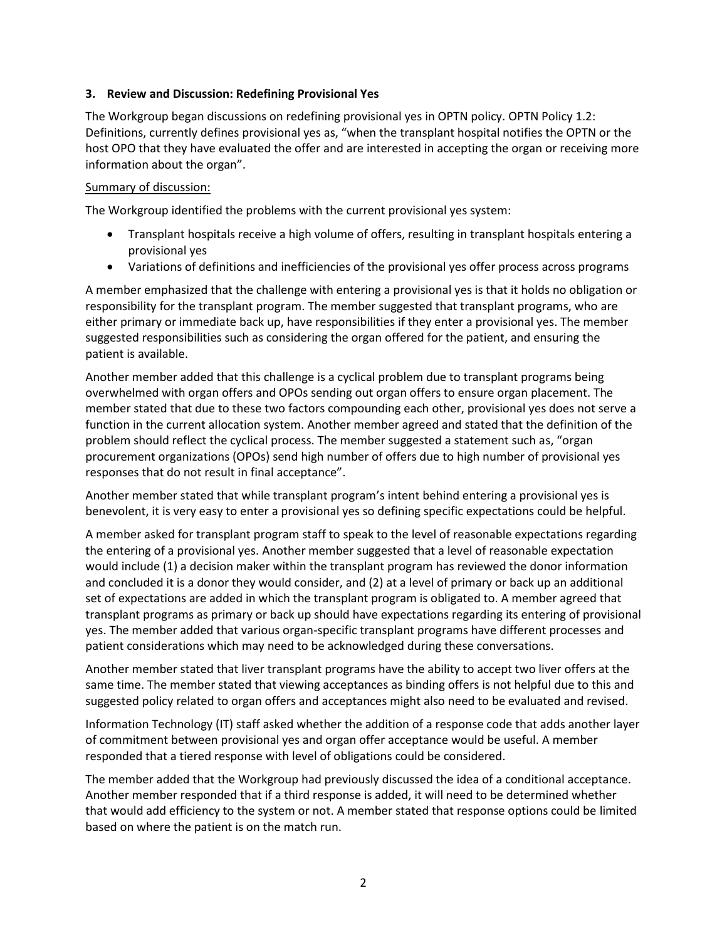## **3. Review and Discussion: Redefining Provisional Yes**

The Workgroup began discussions on redefining provisional yes in OPTN policy. OPTN Policy 1.2: Definitions, currently defines provisional yes as, "when the transplant hospital notifies the OPTN or the host OPO that they have evaluated the offer and are interested in accepting the organ or receiving more information about the organ".

### Summary of discussion:

The Workgroup identified the problems with the current provisional yes system:

- Transplant hospitals receive a high volume of offers, resulting in transplant hospitals entering a provisional yes
- Variations of definitions and inefficiencies of the provisional yes offer process across programs

A member emphasized that the challenge with entering a provisional yes is that it holds no obligation or responsibility for the transplant program. The member suggested that transplant programs, who are either primary or immediate back up, have responsibilities if they enter a provisional yes. The member suggested responsibilities such as considering the organ offered for the patient, and ensuring the patient is available.

Another member added that this challenge is a cyclical problem due to transplant programs being overwhelmed with organ offers and OPOs sending out organ offers to ensure organ placement. The member stated that due to these two factors compounding each other, provisional yes does not serve a function in the current allocation system. Another member agreed and stated that the definition of the problem should reflect the cyclical process. The member suggested a statement such as, "organ procurement organizations (OPOs) send high number of offers due to high number of provisional yes responses that do not result in final acceptance".

Another member stated that while transplant program's intent behind entering a provisional yes is benevolent, it is very easy to enter a provisional yes so defining specific expectations could be helpful.

A member asked for transplant program staff to speak to the level of reasonable expectations regarding the entering of a provisional yes. Another member suggested that a level of reasonable expectation would include (1) a decision maker within the transplant program has reviewed the donor information and concluded it is a donor they would consider, and (2) at a level of primary or back up an additional set of expectations are added in which the transplant program is obligated to. A member agreed that transplant programs as primary or back up should have expectations regarding its entering of provisional yes. The member added that various organ-specific transplant programs have different processes and patient considerations which may need to be acknowledged during these conversations.

Another member stated that liver transplant programs have the ability to accept two liver offers at the same time. The member stated that viewing acceptances as binding offers is not helpful due to this and suggested policy related to organ offers and acceptances might also need to be evaluated and revised.

Information Technology (IT) staff asked whether the addition of a response code that adds another layer of commitment between provisional yes and organ offer acceptance would be useful. A member responded that a tiered response with level of obligations could be considered.

The member added that the Workgroup had previously discussed the idea of a conditional acceptance. Another member responded that if a third response is added, it will need to be determined whether that would add efficiency to the system or not. A member stated that response options could be limited based on where the patient is on the match run.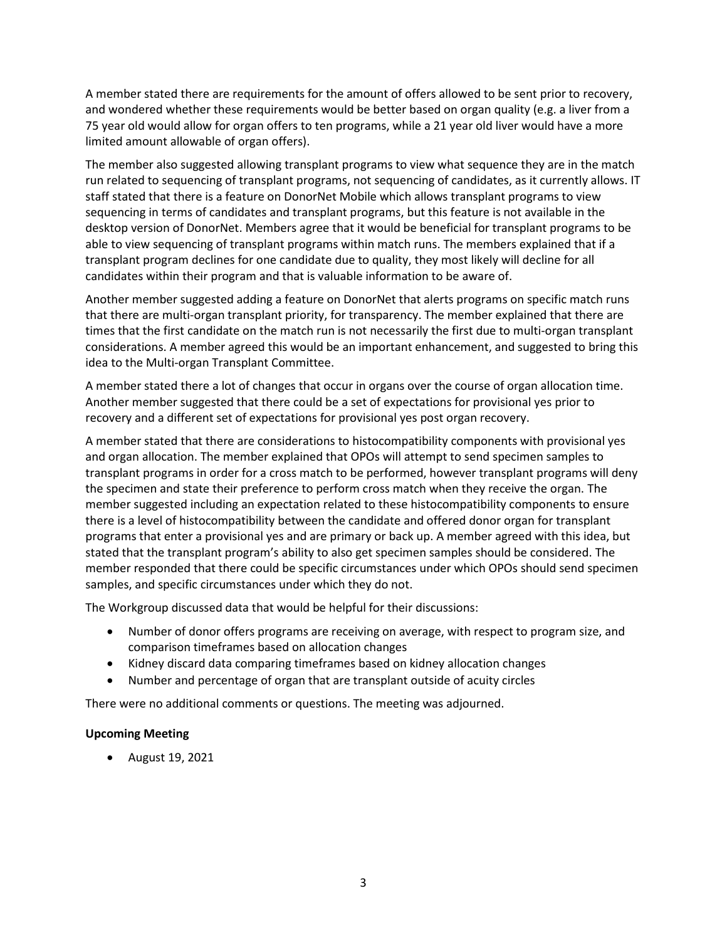A member stated there are requirements for the amount of offers allowed to be sent prior to recovery, and wondered whether these requirements would be better based on organ quality (e.g. a liver from a 75 year old would allow for organ offers to ten programs, while a 21 year old liver would have a more limited amount allowable of organ offers).

The member also suggested allowing transplant programs to view what sequence they are in the match run related to sequencing of transplant programs, not sequencing of candidates, as it currently allows. IT staff stated that there is a feature on DonorNet Mobile which allows transplant programs to view sequencing in terms of candidates and transplant programs, but this feature is not available in the desktop version of DonorNet. Members agree that it would be beneficial for transplant programs to be able to view sequencing of transplant programs within match runs. The members explained that if a transplant program declines for one candidate due to quality, they most likely will decline for all candidates within their program and that is valuable information to be aware of.

Another member suggested adding a feature on DonorNet that alerts programs on specific match runs that there are multi-organ transplant priority, for transparency. The member explained that there are times that the first candidate on the match run is not necessarily the first due to multi-organ transplant considerations. A member agreed this would be an important enhancement, and suggested to bring this idea to the Multi-organ Transplant Committee.

A member stated there a lot of changes that occur in organs over the course of organ allocation time. Another member suggested that there could be a set of expectations for provisional yes prior to recovery and a different set of expectations for provisional yes post organ recovery.

A member stated that there are considerations to histocompatibility components with provisional yes and organ allocation. The member explained that OPOs will attempt to send specimen samples to transplant programs in order for a cross match to be performed, however transplant programs will deny the specimen and state their preference to perform cross match when they receive the organ. The member suggested including an expectation related to these histocompatibility components to ensure there is a level of histocompatibility between the candidate and offered donor organ for transplant programs that enter a provisional yes and are primary or back up. A member agreed with this idea, but stated that the transplant program's ability to also get specimen samples should be considered. The member responded that there could be specific circumstances under which OPOs should send specimen samples, and specific circumstances under which they do not.

The Workgroup discussed data that would be helpful for their discussions:

- Number of donor offers programs are receiving on average, with respect to program size, and comparison timeframes based on allocation changes
- Kidney discard data comparing timeframes based on kidney allocation changes
- Number and percentage of organ that are transplant outside of acuity circles

There were no additional comments or questions. The meeting was adjourned.

### **Upcoming Meeting**

August 19, 2021